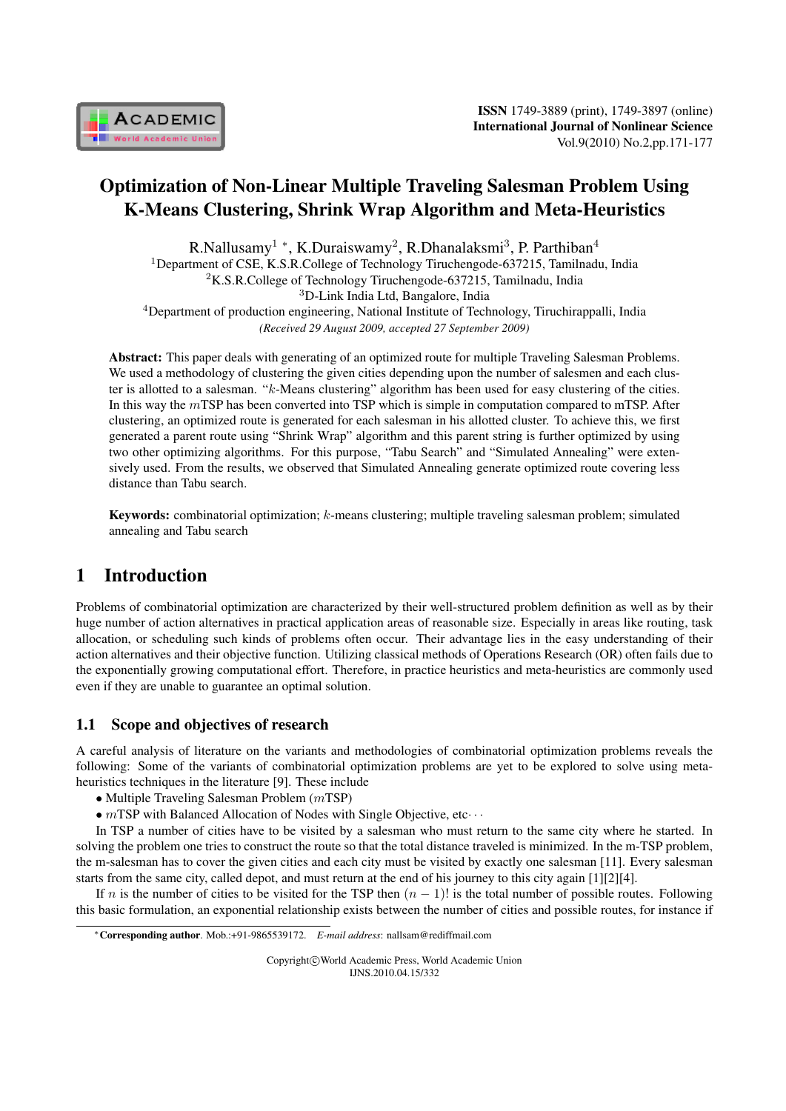

# Optimization of Non-Linear Multiple Traveling Salesman Problem Using K-Means Clustering, Shrink Wrap Algorithm and Meta-Heuristics

R.Nallusamy<sup>1</sup> \*, K.Duraiswamy<sup>2</sup>, R.Dhanalaksmi<sup>3</sup>, P. Parthiban<sup>4</sup> <sup>1</sup>Department of CSE, K.S.R.College of Technology Tiruchengode-637215, Tamilnadu, India <sup>2</sup>K.S.R.College of Technology Tiruchengode-637215, Tamilnadu, India <sup>3</sup>D-Link India Ltd, Bangalore, India <sup>4</sup>Department of production engineering, National Institute of Technology, Tiruchirappalli, India

*(Received 29 August 2009, accepted 27 September 2009)*

Abstract: This paper deals with generating of an optimized route for multiple Traveling Salesman Problems. We used a methodology of clustering the given cities depending upon the number of salesmen and each cluster is allotted to a salesman. " $k$ -Means clustering" algorithm has been used for easy clustering of the cities. In this way the  $m$ TSP has been converted into TSP which is simple in computation compared to mTSP. After clustering, an optimized route is generated for each salesman in his allotted cluster. To achieve this, we first generated a parent route using "Shrink Wrap" algorithm and this parent string is further optimized by using two other optimizing algorithms. For this purpose, "Tabu Search" and "Simulated Annealing" were extensively used. From the results, we observed that Simulated Annealing generate optimized route covering less distance than Tabu search.

**Keywords:** combinatorial optimization;  $k$ -means clustering; multiple traveling salesman problem; simulated annealing and Tabu search

# 1 Introduction

Problems of combinatorial optimization are characterized by their well-structured problem definition as well as by their huge number of action alternatives in practical application areas of reasonable size. Especially in areas like routing, task allocation, or scheduling such kinds of problems often occur. Their advantage lies in the easy understanding of their action alternatives and their objective function. Utilizing classical methods of Operations Research (OR) often fails due to the exponentially growing computational effort. Therefore, in practice heuristics and meta-heuristics are commonly used even if they are unable to guarantee an optimal solution.

### 1.1 Scope and objectives of research

A careful analysis of literature on the variants and methodologies of combinatorial optimization problems reveals the following: Some of the variants of combinatorial optimization problems are yet to be explored to solve using metaheuristics techniques in the literature [9]. These include

- *◆* Multiple Traveling Salesman Problem (*m*TSP)
- *∙* TSP with Balanced Allocation of Nodes with Single Objective, etc*⋅ ⋅ ⋅*

In TSP a number of cities have to be visited by a salesman who must return to the same city where he started. In solving the problem one tries to construct the route so that the total distance traveled is minimized. In the m-TSP problem, the m-salesman has to cover the given cities and each city must be visited by exactly one salesman [11]. Every salesman starts from the same city, called depot, and must return at the end of his journey to this city again [1][2][4].

If *n* is the number of cities to be visited for the TSP then  $(n - 1)!$  is the total number of possible routes. Following this basic formulation, an exponential relationship exists between the number of cities and possible routes, for instance if

Copyright*⃝*c World Academic Press, World Academic Union IJNS.2010.04.15/332

*<sup>∗</sup>*Corresponding author. Mob.:+91-9865539172. *E-mail address*: nallsam@rediffmail.com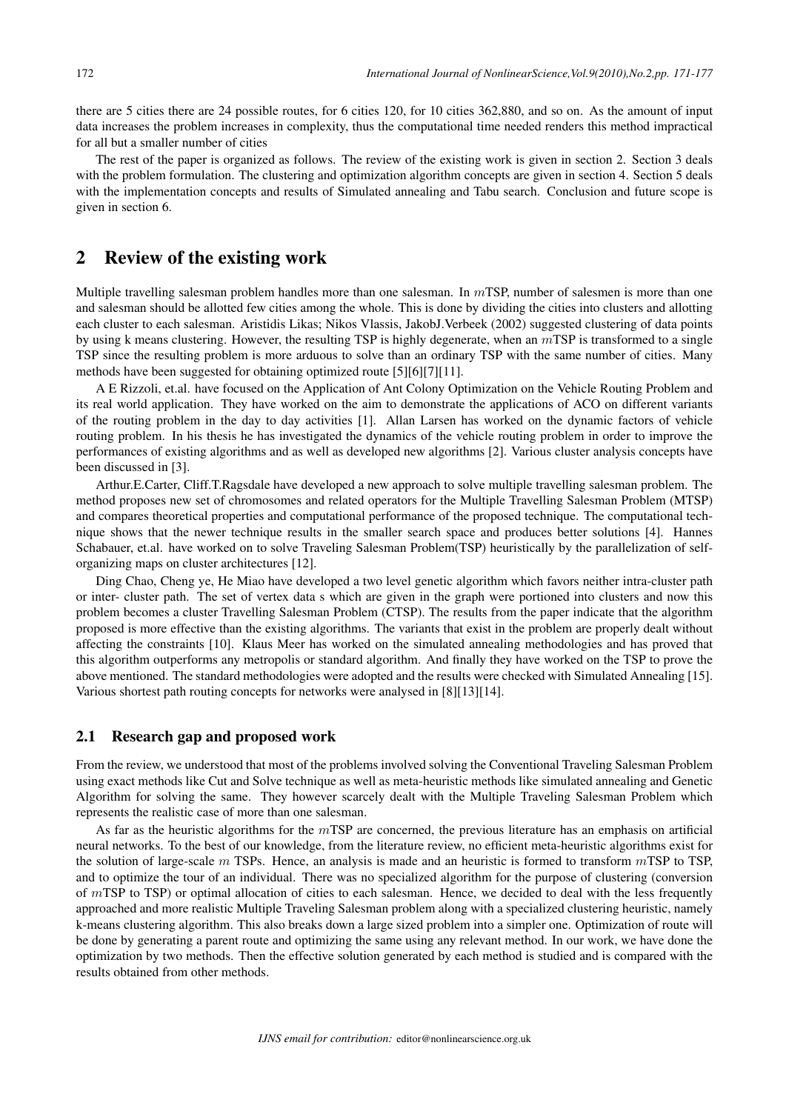there are 5 cities there are 24 possible routes, for 6 cities 120, for 10 cities 362,880, and so on. As the amount of input data increases the problem increases in complexity, thus the computational time needed renders this method impractical for all but a smaller number of cities

The rest of the paper is organized as follows. The review of the existing work is given in section 2. Section 3 deals with the problem formulation. The clustering and optimization algorithm concepts are given in section 4. Section 5 deals with the implementation concepts and results of Simulated annealing and Tabu search. Conclusion and future scope is given in section 6.

## 2 Review of the existing work

Multiple travelling salesman problem handles more than one salesman. In  $mTSP$ , number of salesmen is more than one and salesman should be allotted few cities among the whole. This is done by dividing the cities into clusters and allotting each cluster to each salesman. Aristidis Likas; Nikos Vlassis, JakobJ.Verbeek (2002) suggested clustering of data points by using k means clustering. However, the resulting TSP is highly degenerate, when an  $m$ TSP is transformed to a single TSP since the resulting problem is more arduous to solve than an ordinary TSP with the same number of cities. Many methods have been suggested for obtaining optimized route [5][6][7][11].

A E Rizzoli, et.al. have focused on the Application of Ant Colony Optimization on the Vehicle Routing Problem and its real world application. They have worked on the aim to demonstrate the applications of ACO on different variants of the routing problem in the day to day activities [1]. Allan Larsen has worked on the dynamic factors of vehicle routing problem. In his thesis he has investigated the dynamics of the vehicle routing problem in order to improve the performances of existing algorithms and as well as developed new algorithms [2]. Various cluster analysis concepts have been discussed in [3].

Arthur.E.Carter, Cliff.T.Ragsdale have developed a new approach to solve multiple travelling salesman problem. The method proposes new set of chromosomes and related operators for the Multiple Travelling Salesman Problem (MTSP) and compares theoretical properties and computational performance of the proposed technique. The computational technique shows that the newer technique results in the smaller search space and produces better solutions [4]. Hannes Schabauer, et.al. have worked on to solve Traveling Salesman Problem(TSP) heuristically by the parallelization of selforganizing maps on cluster architectures [12].

Ding Chao, Cheng ye, He Miao have developed a two level genetic algorithm which favors neither intra-cluster path or inter- cluster path. The set of vertex data s which are given in the graph were portioned into clusters and now this problem becomes a cluster Travelling Salesman Problem (CTSP). The results from the paper indicate that the algorithm proposed is more effective than the existing algorithms. The variants that exist in the problem are properly dealt without affecting the constraints [10]. Klaus Meer has worked on the simulated annealing methodologies and has proved that this algorithm outperforms any metropolis or standard algorithm. And finally they have worked on the TSP to prove the above mentioned. The standard methodologies were adopted and the results were checked with Simulated Annealing [15]. Various shortest path routing concepts for networks were analysed in [8][13][14].

#### 2.1 Research gap and proposed work

From the review, we understood that most of the problems involved solving the Conventional Traveling Salesman Problem using exact methods like Cut and Solve technique as well as meta-heuristic methods like simulated annealing and Genetic Algorithm for solving the same. They however scarcely dealt with the Multiple Traveling Salesman Problem which represents the realistic case of more than one salesman.

As far as the heuristic algorithms for the  $mTSP$  are concerned, the previous literature has an emphasis on artificial neural networks. To the best of our knowledge, from the literature review, no efficient meta-heuristic algorithms exist for the solution of large-scale  $m$  TSPs. Hence, an analysis is made and an heuristic is formed to transform  $m$ TSP to TSP, and to optimize the tour of an individual. There was no specialized algorithm for the purpose of clustering (conversion of  $m$ TSP to TSP) or optimal allocation of cities to each salesman. Hence, we decided to deal with the less frequently approached and more realistic Multiple Traveling Salesman problem along with a specialized clustering heuristic, namely k-means clustering algorithm. This also breaks down a large sized problem into a simpler one. Optimization of route will be done by generating a parent route and optimizing the same using any relevant method. In our work, we have done the optimization by two methods. Then the effective solution generated by each method is studied and is compared with the results obtained from other methods.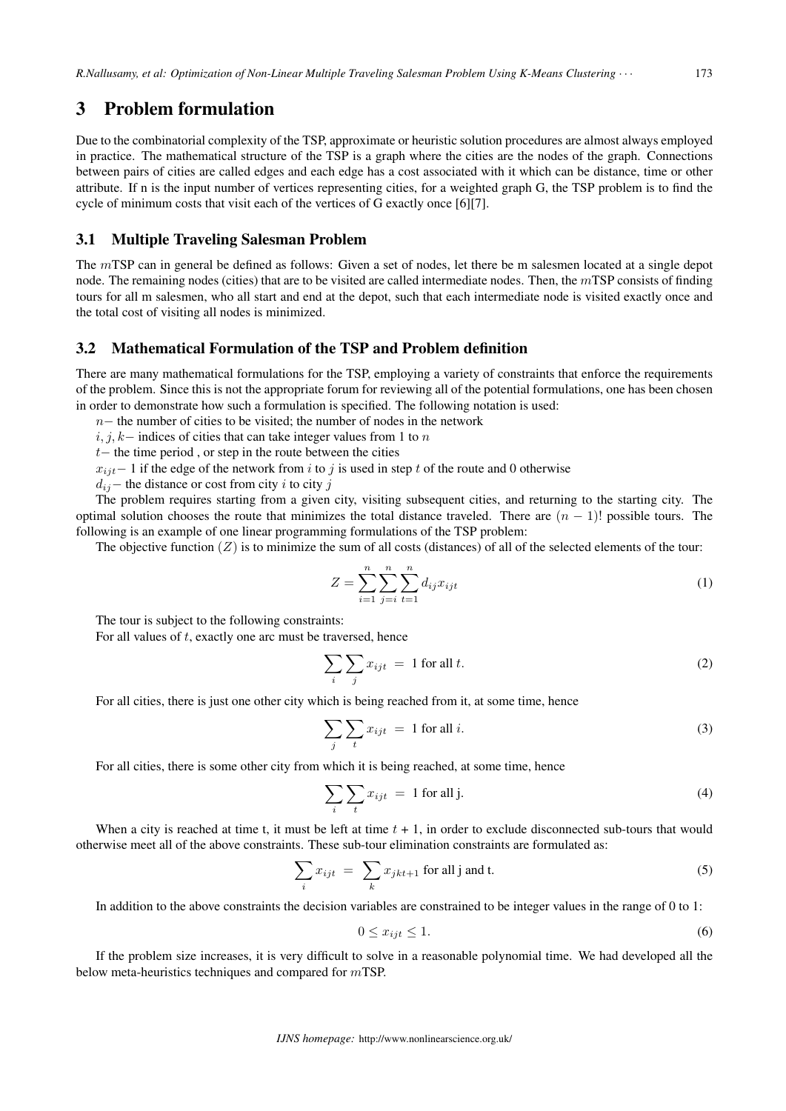# 3 Problem formulation

Due to the combinatorial complexity of the TSP, approximate or heuristic solution procedures are almost always employed in practice. The mathematical structure of the TSP is a graph where the cities are the nodes of the graph. Connections between pairs of cities are called edges and each edge has a cost associated with it which can be distance, time or other attribute. If n is the input number of vertices representing cities, for a weighted graph G, the TSP problem is to find the cycle of minimum costs that visit each of the vertices of G exactly once [6][7].

### 3.1 Multiple Traveling Salesman Problem

The  $m$ TSP can in general be defined as follows: Given a set of nodes, let there be m salesmen located at a single depot node. The remaining nodes (cities) that are to be visited are called intermediate nodes. Then, the  $m$ TSP consists of finding tours for all m salesmen, who all start and end at the depot, such that each intermediate node is visited exactly once and the total cost of visiting all nodes is minimized.

### 3.2 Mathematical Formulation of the TSP and Problem definition

There are many mathematical formulations for the TSP, employing a variety of constraints that enforce the requirements of the problem. Since this is not the appropriate forum for reviewing all of the potential formulations, one has been chosen in order to demonstrate how such a formulation is specified. The following notation is used:

*n* − the number of cities to be visited; the number of nodes in the network

 $i, j, k-$  indices of cities that can take integer values from 1 to n

*−* the time period , or step in the route between the cities

 $x_{ijt}$  − 1 if the edge of the network from *i* to *j* is used in step *t* of the route and 0 otherwise

 $d_{ij}$ − the distance or cost from city *i* to city *i* 

The problem requires starting from a given city, visiting subsequent cities, and returning to the starting city. The optimal solution chooses the route that minimizes the total distance traveled. There are  $(n - 1)!$  possible tours. The following is an example of one linear programming formulations of the TSP problem:

The objective function  $(Z)$  is to minimize the sum of all costs (distances) of all of the selected elements of the tour:

$$
Z = \sum_{i=1}^{n} \sum_{j=i}^{n} \sum_{t=1}^{n} d_{ij} x_{ijt}
$$
 (1)

The tour is subject to the following constraints:

For all values of  $t$ , exactly one arc must be traversed, hence

$$
\sum_{i} \sum_{j} x_{ijt} = 1 \text{ for all } t. \tag{2}
$$

For all cities, there is just one other city which is being reached from it, at some time, hence

$$
\sum_{j} \sum_{t} x_{ijt} = 1 \text{ for all } i. \tag{3}
$$

For all cities, there is some other city from which it is being reached, at some time, hence

$$
\sum_{i} \sum_{t} x_{ijt} = 1 \text{ for all } j.
$$
 (4)

When a city is reached at time t, it must be left at time  $t + 1$ , in order to exclude disconnected sub-tours that would otherwise meet all of the above constraints. These sub-tour elimination constraints are formulated as:

$$
\sum_{i} x_{ijt} = \sum_{k} x_{jkt+1} \text{ for all } j \text{ and } t. \tag{5}
$$

In addition to the above constraints the decision variables are constrained to be integer values in the range of 0 to 1:

$$
0 \le x_{ijt} \le 1. \tag{6}
$$

If the problem size increases, it is very difficult to solve in a reasonable polynomial time. We had developed all the below meta-heuristics techniques and compared for  $m$ TSP.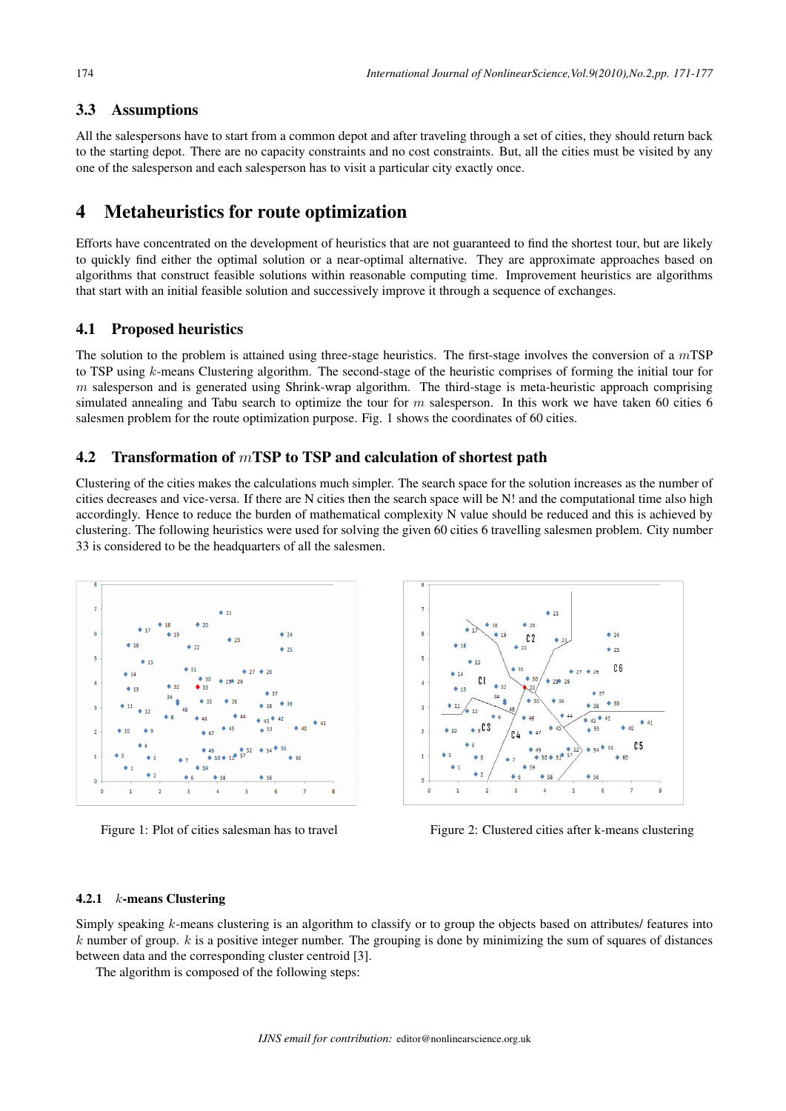### 3.3 Assumptions

All the salespersons have to start from a common depot and after traveling through a set of cities, they should return back to the starting depot. There are no capacity constraints and no cost constraints. But, all the cities must be visited by any one of the salesperson and each salesperson has to visit a particular city exactly once.

# 4 Metaheuristics for route optimization

Efforts have concentrated on the development of heuristics that are not guaranteed to find the shortest tour, but are likely to quickly find either the optimal solution or a near-optimal alternative. They are approximate approaches based on algorithms that construct feasible solutions within reasonable computing time. Improvement heuristics are algorithms that start with an initial feasible solution and successively improve it through a sequence of exchanges.

#### 4.1 Proposed heuristics

The solution to the problem is attained using three-stage heuristics. The first-stage involves the conversion of a  $m$ TSP to TSP using  $k$ -means Clustering algorithm. The second-stage of the heuristic comprises of forming the initial tour for  $m$  salesperson and is generated using Shrink-wrap algorithm. The third-stage is meta-heuristic approach comprising simulated annealing and Tabu search to optimize the tour for  $m$  salesperson. In this work we have taken 60 cities 6 salesmen problem for the route optimization purpose. Fig. 1 shows the coordinates of 60 cities.

### 4.2 Transformation of  $m$ TSP to TSP and calculation of shortest path

Clustering of the cities makes the calculations much simpler. The search space for the solution increases as the number of cities decreases and vice-versa. If there are N cities then the search space will be N! and the computational time also high accordingly. Hence to reduce the burden of mathematical complexity N value should be reduced and this is achieved by clustering. The following heuristics were used for solving the given 60 cities 6 travelling salesmen problem. City number 33 is considered to be the headquarters of all the salesmen.





Figure 1: Plot of cities salesman has to travel Figure 2: Clustered cities after k-means clustering

#### 4.2.1  $k$ -means Clustering

Simply speaking  $k$ -means clustering is an algorithm to classify or to group the objects based on attributes/ features into  $k$  number of group.  $k$  is a positive integer number. The grouping is done by minimizing the sum of squares of distances between data and the corresponding cluster centroid [3].

The algorithm is composed of the following steps: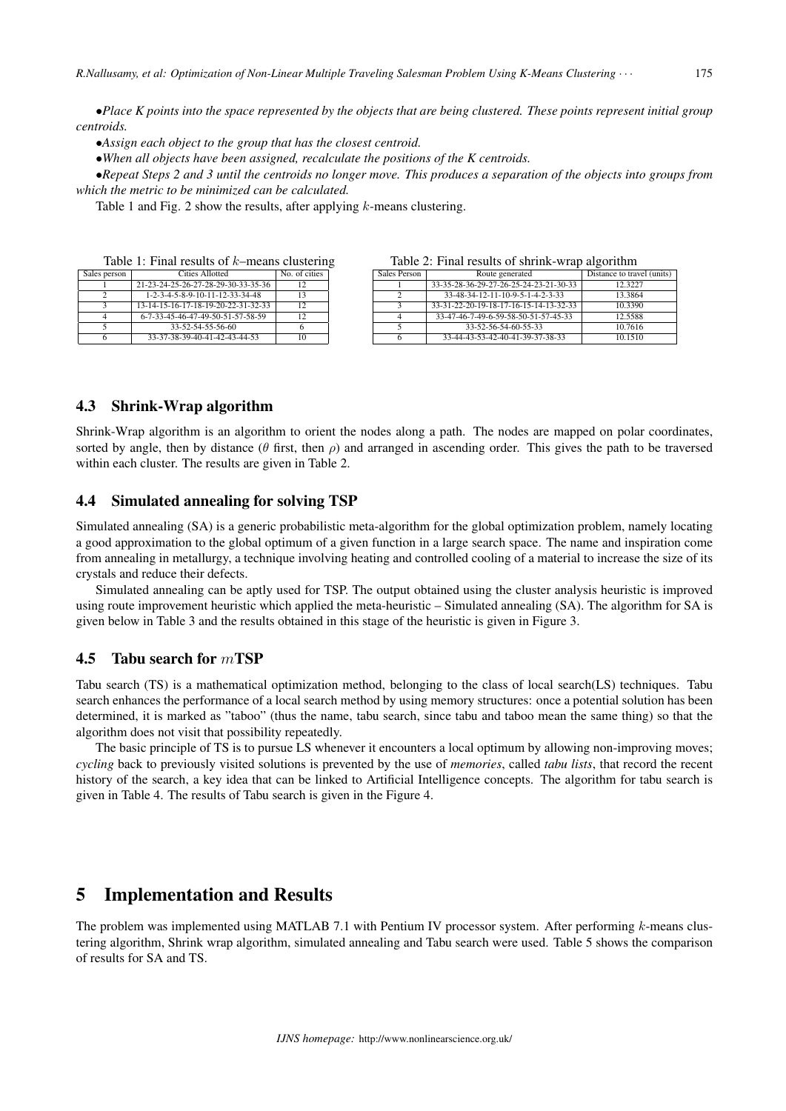*∙Place K points into the space represented by the objects that are being clustered. These points represent initial group centroids.*

*∙Assign each object to the group that has the closest centroid.*

*∙When all objects have been assigned, recalculate the positions of the K centroids.*

*∙Repeat Steps 2 and 3 until the centroids no longer move. This produces a separation of the objects into groups from which the metric to be minimized can be calculated.*

Table 1 and Fig. 2 show the results, after applying  $k$ -means clustering.

Table 1: Final results of  $k$ -means clustering

| Sales person | <b>Cities Allotted</b>              | No. of cities |
|--------------|-------------------------------------|---------------|
|              | 21-23-24-25-26-27-28-29-30-33-35-36 | 12            |
|              | 1-2-3-4-5-8-9-10-11-12-33-34-48     | 13            |
| ∍            | 13-14-15-16-17-18-19-20-22-31-32-33 | 12            |
|              | 6-7-33-45-46-47-49-50-51-57-58-59   |               |
|              | 33-52-54-55-56-60                   |               |
|              | 33-37-38-39-40-41-42-43-44-53       |               |

| 100.000 #1 1 11101 190.01100 01 011111111 111000 |                                        |                            |  |  |
|--------------------------------------------------|----------------------------------------|----------------------------|--|--|
| Sales Person                                     | Route generated                        | Distance to travel (units) |  |  |
|                                                  | 33-35-28-36-29-27-26-25-24-23-21-30-33 | 12.3227                    |  |  |
|                                                  | 33-48-34-12-11-10-9-5-1-4-2-3-33       | 13.3864                    |  |  |
|                                                  | 33-31-22-20-19-18-17-16-15-14-13-32-33 | 10.3390                    |  |  |
|                                                  | 33-47-46-7-49-6-59-58-50-51-57-45-33   | 12.5588                    |  |  |
|                                                  | 33-52-56-54-60-55-33                   | 10.7616                    |  |  |
|                                                  | 33-44-43-53-42-40-41-39-37-38-33       | 10.1510                    |  |  |

Table 2: Final results of shrink-wrap algorithm

### 4.3 Shrink-Wrap algorithm

Shrink-Wrap algorithm is an algorithm to orient the nodes along a path. The nodes are mapped on polar coordinates, sorted by angle, then by distance ( $\theta$  first, then  $\rho$ ) and arranged in ascending order. This gives the path to be traversed within each cluster. The results are given in Table 2.

### 4.4 Simulated annealing for solving TSP

Simulated annealing (SA) is a generic probabilistic meta-algorithm for the global optimization problem, namely locating a good approximation to the global optimum of a given function in a large search space. The name and inspiration come from annealing in metallurgy, a technique involving heating and controlled cooling of a material to increase the size of its crystals and reduce their defects.

Simulated annealing can be aptly used for TSP. The output obtained using the cluster analysis heuristic is improved using route improvement heuristic which applied the meta-heuristic – Simulated annealing (SA). The algorithm for SA is given below in Table 3 and the results obtained in this stage of the heuristic is given in Figure 3.

### 4.5 Tabu search for  $m$ TSP

Tabu search (TS) is a mathematical optimization method, belonging to the class of local search(LS) techniques. Tabu search enhances the performance of a local search method by using memory structures: once a potential solution has been determined, it is marked as "taboo" (thus the name, tabu search, since tabu and taboo mean the same thing) so that the algorithm does not visit that possibility repeatedly.

The basic principle of TS is to pursue LS whenever it encounters a local optimum by allowing non-improving moves; *cycling* back to previously visited solutions is prevented by the use of *memories*, called *tabu lists*, that record the recent history of the search, a key idea that can be linked to Artificial Intelligence concepts. The algorithm for tabu search is given in Table 4. The results of Tabu search is given in the Figure 4.

# 5 Implementation and Results

The problem was implemented using MATLAB 7.1 with Pentium IV processor system. After performing  $k$ -means clustering algorithm, Shrink wrap algorithm, simulated annealing and Tabu search were used. Table 5 shows the comparison of results for SA and TS.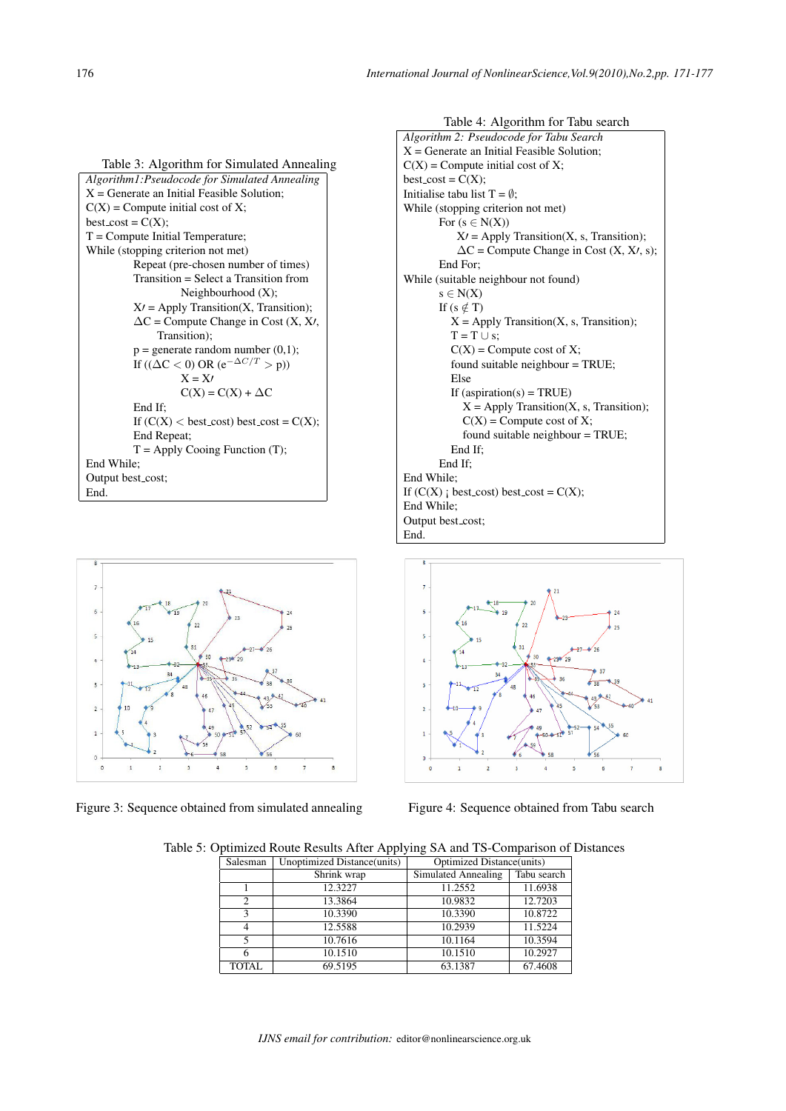Table 3: Algorithm for Simulated Annealing *Algorithm1:Pseudocode for Simulated Annealing*  $X =$  Generate an Initial Feasible Solution;  $C(X)$  = Compute initial cost of X; best  $\text{cost} = \text{C}(X)$ ; T = Compute Initial Temperature; While (stopping criterion not met) Repeat (pre-chosen number of times) Transition = Select a Transition from Neighbourhood (X); X*′* = Apply Transition(X, Transition); ΔC = Compute Change in Cost (X, X*′*, Transition);  $p =$  generate random number  $(0,1)$ ; If  $((\Delta C < 0) \text{ OR } (e^{-\Delta C/T} > p))$ X = X*′*  $C(X) = C(X) + \Delta C$ End If; If  $(C(X) < \text{best\_cost})$  best\_cost =  $C(X)$ ; End Repeat;  $T = Apply Cooing Function (T);$ End While; Output best\_cost; End.

 $29$ ä  $\overline{a}$ 

Figure 3: Sequence obtained from simulated annealing Figure 4: Sequence obtained from Tabu search



*Algorithm 2: Pseudocode for Tabu Search* X = Generate an Initial Feasible Solution;  $C(X)$  = Compute initial cost of X;  $best\_cost = C(X);$ Initialise tabu list  $T = \emptyset$ ; While (stopping criterion not met) For  $(s \in N(X))$ X*′* = Apply Transition(X, s, Transition); ΔC = Compute Change in Cost (X, X*′*, s); End For; While (suitable neighbour not found) s *∈* N(X) If  $(s \notin T)$  $X = Apply Transition(X, s, Transition);$  $T = T \cup s$ ;  $C(X)$  = Compute cost of X; found suitable neighbour = TRUE; Else If  $(aspiration(s) = TRUE)$  $X = Apply Transition(X, s, Transition);$  $C(X)$  = Compute cost of X; found suitable neighbour = TRUE; End If; End If; End While; If  $(C(X)$  ; best\_cost) best\_cost =  $C(X)$ ; End While; Output best\_cost; End.



Table 5: Optimized Route Results After Applying SA and TS-Comparison of Distances

| Salesman       | Unoptimized Distance(units) | Optimized Distance(units) |             |
|----------------|-----------------------------|---------------------------|-------------|
|                | Shrink wrap                 | Simulated Annealing       | Tabu search |
|                | 12.3227                     | 11.2552                   | 11.6938     |
| $\overline{c}$ | 13.3864                     | 10.9832                   | 12.7203     |
| 3              | 10.3390                     | 10.3390                   | 10.8722     |
| 4              | 12.5588                     | 10.2939                   | 11.5224     |
| 5              | 10.7616                     | 10.1164                   | 10.3594     |
| 6              | 10.1510                     | 10.1510                   | 10.2927     |
| <b>TOTAL</b>   | 69.5195                     | 63.1387                   | 67.4608     |